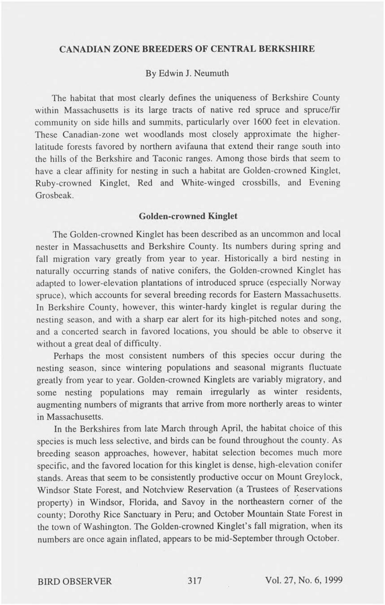## **CANADIAN ZONE BREEDERS OF CENTRAL BERKSHIRE**

### By Edwin J. Neumuth

The habitat that most clearly defines the uniqueness of Berkshire County within Massachusetts is its large tracts of native red spruce and spruce/fir community on side hills and summits, particularly over 1600 feet in elevation. These Canadian-zone wet woodlands most closely approximate the higherlatitude forests favored by northern avifauna that extend their range south into the hills of the Berkshire and Taconic ranges. Among those birds that seem to have a clear affinity for nesting in such a habitat are Golden-crowned Kinglet, Ruby-crowned Kinglet, Red and White-winged crossbills, and Evening Grosbeak.

#### **Golden-crowned Kinglet**

The Golden-crowned Kinglet has been described as an uncommon and local nester in Massachusetts and Berkshire County. Its numbers during spring and fall migration vary greatly from year to year. Historically a bird nesting in naturally occurring stands of native conifers, the Golden-crowned Kinglet has adapted to lower-elevation plantations of introduced spruce (especially Norway spruce), which accounts for several breeding records for Eastern Massachusetts. In Berkshire County, however, this winter-hardy kinglet is regular during the nesting season, and with a sharp ear alert for its high-pitched notes and song, and a concerted search in favored locations, you should be able to observe it without a great deal of difficulty.

Perhaps the most consistent numbers of this species occur during the nesting season, since wintering populations and seasonal migrants fluctuate greatly from year to year. Golden-crowned Kinglets are variably migratory, and some nesting populations may remain irregularly as winter residents, augmenting numbers of migrants that arrive from more northerly areas to winter in Massachusetts.

In the Berkshires from late March through April, the habitat choice of this species is much less selective, and birds can be found throughout the county. As breeding season approaches, however, habitat selection becomes much more specific, and the favored location for this kinglet is dense, high-elevation conifer stands. Areas that seem to be consistently productive occur on Mount Greylock, Windsor State Forest, and Notchview Reservation (a Trustees of Reservations property) in Windsor, Florida, and Savoy in the northeastern corner of the county; Dorothy Rice Sanctuary in Peru; and October Mountain State Forest in the town of Washington. The Golden-crowned Kinglet's fall migration, when its numbers are once again inflated, appears to be mid-September through October.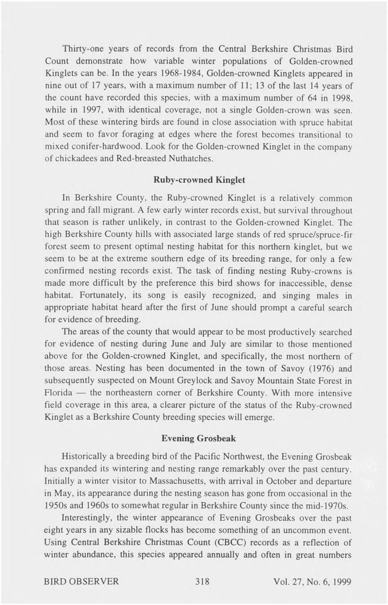Thirty-one years of records from the Central Berkshire Christmas Bird Count demonstrate how variable winter populations of Golden-crowned Kinglets can be. In the years 1968-1984, Golden-crowned Kinglets appeared in nine out of 17 years, with a maximum number of 11; 13 of the last 14 years of the count have recorded this species, with a maximum number of 64 in 1998, while in 1997, with identical coverage, not a single Golden-crown was seen. Most of these wintering birds are found in close association with spruce habitat and seem to favor foraging at edges where the forest becomes transitional to mixed conifer-hardwood. Look for the Golden-crowned Kinglet in the company of chickadees and Red-breasted Nuthatches.

# **Ruby-crowned Kinglet**

In Berkshire County, the Ruby-crowned Kinglet is a relatively common spring and fall migrant. A few early winter records exist, but survival throughout that season is rather unlikely, in contrast to the Golden-crowned Kinglet. The high Berkshire County hills with associated large stands of red spruce/spruce-fir forest seem to present optimal nesting habitat for this northern kinglet, but we seem to be at the extreme southern edge of its breeding range, for only a few confirmed nesting records exist. The task of finding nesting Ruby-crowns is made more difficult by the preference this bird shows for inaccessible, dense habitat. Fortunately, its song is easily recognized, and singing males in appropriate habitat heard after the first of June should prompt a careful search for evidence of breeding.

The areas of the county that would appear to be most productively searched for evidence of nesting during June and July are similar to those mentioned above for the Golden-crowned Kinglet, and specifically, the most northern of those areas. Nesting has been documented in the town of Savoy (1976) and subsequently suspected on Mount Greylock and Savoy Mountain State Forest in Florida — the northeastern corner of Berkshire County. With more intensive field coverage in this area, a clearer picture of the status of the Ruby-crowned Kinglet as a Berkshire County breeding species will emerge.

## **Evening Grosbeak**

Historically a breeding bird of the Pacific Northwest, the Evening Grosbeak has expanded its wintering and nesting range remarkably over the past century. Initially a winter visitor to Massachusetts, with arrival in October and departure in May, its appearance during the nesting season has gone from occasional in the 1950s and 1960s to somewhat regular in Berkshire County since the mid-1970s.

Interestingly, the winter appearance of Evening Grosbeaks over the past eight years in any sizable flocks has become something of an uncommon event. Using Central Berkshire Christmas Count (CBCC) records as a reflection of winter abundance, this species appeared annually and often in great numbers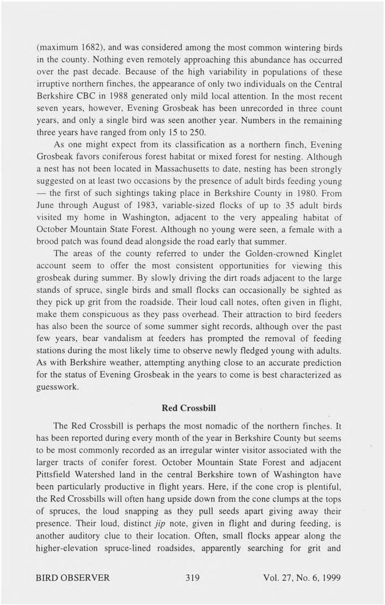(maximum 1682), and was considered among the most common wintering birds in the county. Nothing even remotely approaching this abundance has occurred over the past decade. Because of the high variability in populations of these irruptive northern finches, the appearance of only two individuals on the Central Berkshire CBC in 1988 generated only mild local attention. In the most recent seven years, however. Evening Grosbeak has been unrecorded in three count years, and only a single bird was seen another year. Numbers in the remaining three years have ranged from only 15 to 250.

As one might expect from its classification as a northern finch. Evening Grosbeak favors coniferous forest habitat or mixed forest for nesting. Although a nest has not been located in Massachusetts to date, nesting has been strongly suggested on at least two occasions by the presence of adult birds feeding young — the first of such sightings taking place in Berkshire County in 1980. From June through August of 1983, variable-sized flocks of up to 35 adult birds visited my home in Washington, adjacent to the very appealing habitat of October Mountain State Forest. Although no young were seen, a female with a brood patch was found dead alongside the road early that summer.

The areas of the county referred to under the Golden-crowned Kinglet account seem to offer the most consistent opportunities for viewing this grosbeak during summer. By slowly driving the dirt roads adjacent to the large stands of spruce, single birds and small flocks can occasionally be sighted as they pick up grit from the roadside. Their loud call notes, often given in flight, make them conspicuous as they pass overhead. Their attraction to bird feeders has also been the source of some summer sight records, although over the past few years, bear vandalism at feeders has prompted the removal of feeding stations during the most likely time to observe newly fledged young with adults. As with Berkshire weather, attempting anything close to an accurate prediction for the status of Evening Grosbeak in the years to come is best characterized as guesswork.

## **Red Crossbill**

The Red Crossbill is perhaps the most nomadic of the northern finches. It has been reported during every month of the year in Berkshire County but seems to be most commonly recorded as an irregular winter visitor associated with the larger tracts of conifer forest. October Mountain State Forest and adjacent Pittsfield Watershed land in the central Berkshire town of Washington have been particularly productive in flight years. Here, if the cone crop is plentiful, the Red Crossbills will often hang upside down from the cone clumps at the tops of spruces, the loud snapping as they pull seeds apart giving away their presence. Their loud, distinct *jip* note, given in flight and during feeding, is another auditory clue to their location. Often, small flocks appear along the higher-elevation spruce-lined roadsides, apparently searching for grit and